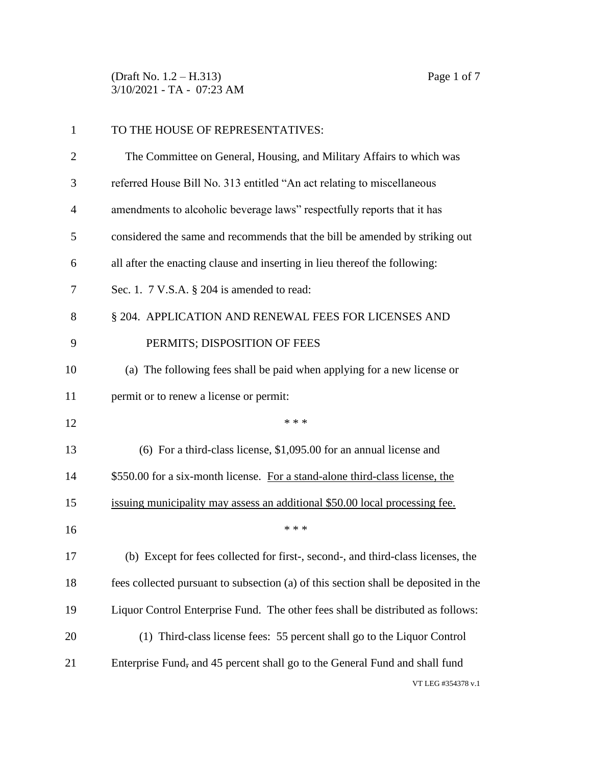(Draft No. 1.2 – H.313) Page 1 of 7 3/10/2021 - TA - 07:23 AM

| $\mathbf{1}$   | TO THE HOUSE OF REPRESENTATIVES:                                                    |
|----------------|-------------------------------------------------------------------------------------|
| $\overline{2}$ | The Committee on General, Housing, and Military Affairs to which was                |
| 3              | referred House Bill No. 313 entitled "An act relating to miscellaneous              |
| 4              | amendments to alcoholic beverage laws" respectfully reports that it has             |
| 5              | considered the same and recommends that the bill be amended by striking out         |
| 6              | all after the enacting clause and inserting in lieu thereof the following:          |
| 7              | Sec. 1. 7 V.S.A. § 204 is amended to read:                                          |
| 8              | § 204. APPLICATION AND RENEWAL FEES FOR LICENSES AND                                |
| 9              | PERMITS; DISPOSITION OF FEES                                                        |
| 10             | (a) The following fees shall be paid when applying for a new license or             |
| 11             | permit or to renew a license or permit:                                             |
| 12             | * * *                                                                               |
| 13             | $(6)$ For a third-class license, \$1,095.00 for an annual license and               |
| 14             | \$550.00 for a six-month license. For a stand-alone third-class license, the        |
| 15             | issuing municipality may assess an additional \$50.00 local processing fee.         |
| 16             | * * *                                                                               |
| 17             | (b) Except for fees collected for first-, second-, and third-class licenses, the    |
| 18             | fees collected pursuant to subsection (a) of this section shall be deposited in the |
| 19             | Liquor Control Enterprise Fund. The other fees shall be distributed as follows:     |
| 20             | (1) Third-class license fees: 55 percent shall go to the Liquor Control             |
| 21             | Enterprise Fund, and 45 percent shall go to the General Fund and shall fund         |
|                | VT LEG #354378 v.1                                                                  |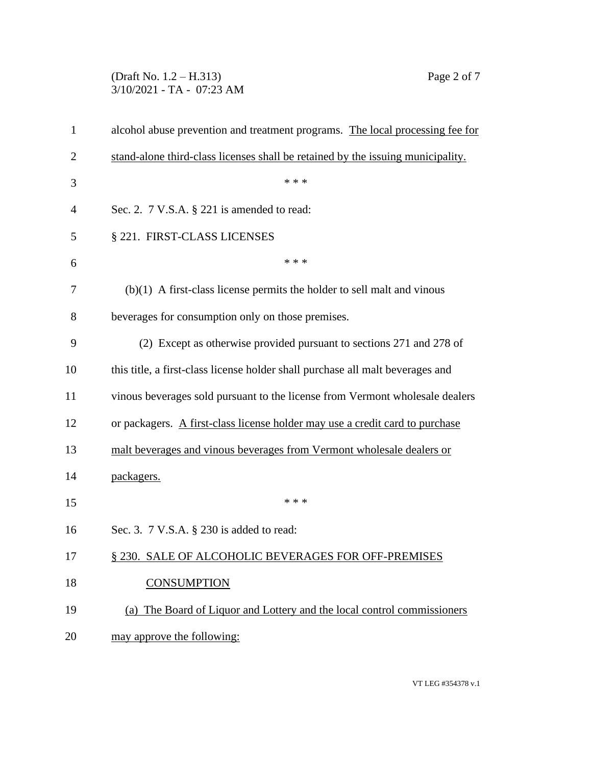## (Draft No. 1.2 – H.313) Page 2 of 7 3/10/2021 - TA - 07:23 AM

| $\mathbf{1}$   | alcohol abuse prevention and treatment programs. The local processing fee for   |  |  |  |
|----------------|---------------------------------------------------------------------------------|--|--|--|
| $\overline{2}$ | stand-alone third-class licenses shall be retained by the issuing municipality. |  |  |  |
| 3              | * * *                                                                           |  |  |  |
| $\overline{4}$ | Sec. 2. $7$ V.S.A. $\S$ 221 is amended to read:                                 |  |  |  |
| 5              | § 221. FIRST-CLASS LICENSES                                                     |  |  |  |
| 6              | * * *                                                                           |  |  |  |
| 7              | $(b)(1)$ A first-class license permits the holder to sell malt and vinous       |  |  |  |
| 8              | beverages for consumption only on those premises.                               |  |  |  |
| 9              | (2) Except as otherwise provided pursuant to sections 271 and 278 of            |  |  |  |
| 10             | this title, a first-class license holder shall purchase all malt beverages and  |  |  |  |
| 11             | vinous beverages sold pursuant to the license from Vermont wholesale dealers    |  |  |  |
| 12             | or packagers. A first-class license holder may use a credit card to purchase    |  |  |  |
| 13             | malt beverages and vinous beverages from Vermont wholesale dealers or           |  |  |  |
| 14             | packagers.                                                                      |  |  |  |
| 15             | * * *                                                                           |  |  |  |
| 16             | Sec. 3. 7 V.S.A. § 230 is added to read:                                        |  |  |  |
| 17             | § 230. SALE OF ALCOHOLIC BEVERAGES FOR OFF-PREMISES                             |  |  |  |
| 18             | <b>CONSUMPTION</b>                                                              |  |  |  |
| 19             | (a) The Board of Liquor and Lottery and the local control commissioners         |  |  |  |
| 20             | may approve the following:                                                      |  |  |  |
|                |                                                                                 |  |  |  |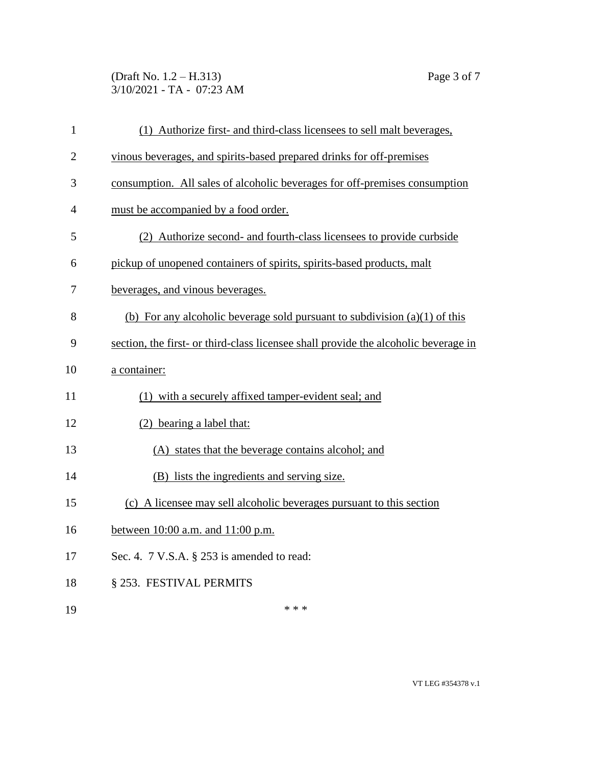(Draft No. 1.2 – H.313) Page 3 of 7 3/10/2021 - TA - 07:23 AM

| $\mathbf{1}$   | (1) Authorize first- and third-class licensees to sell malt beverages,              |
|----------------|-------------------------------------------------------------------------------------|
| $\overline{2}$ | vinous beverages, and spirits-based prepared drinks for off-premises                |
| 3              | consumption. All sales of alcoholic beverages for off-premises consumption          |
| $\overline{4}$ | must be accompanied by a food order.                                                |
| 5              | (2) Authorize second- and fourth-class licensees to provide curbside                |
| 6              | pickup of unopened containers of spirits, spirits-based products, malt              |
| 7              | beverages, and vinous beverages.                                                    |
| 8              | (b) For any alcoholic beverage sold pursuant to subdivision $(a)(1)$ of this        |
| 9              | section, the first- or third-class licensee shall provide the alcoholic beverage in |
| 10             | a container:                                                                        |
| 11             | (1) with a securely affixed tamper-evident seal; and                                |
| 12             | (2) bearing a label that:                                                           |
| 13             | (A) states that the beverage contains alcohol; and                                  |
| 14             | (B) lists the ingredients and serving size.                                         |
| 15             | (c) A licensee may sell alcoholic beverages pursuant to this section                |
| 16             | between 10:00 a.m. and 11:00 p.m.                                                   |
| 17             | Sec. 4. $7$ V.S.A. $\S$ 253 is amended to read:                                     |
| 18             | § 253. FESTIVAL PERMITS                                                             |
| 19             | * * *                                                                               |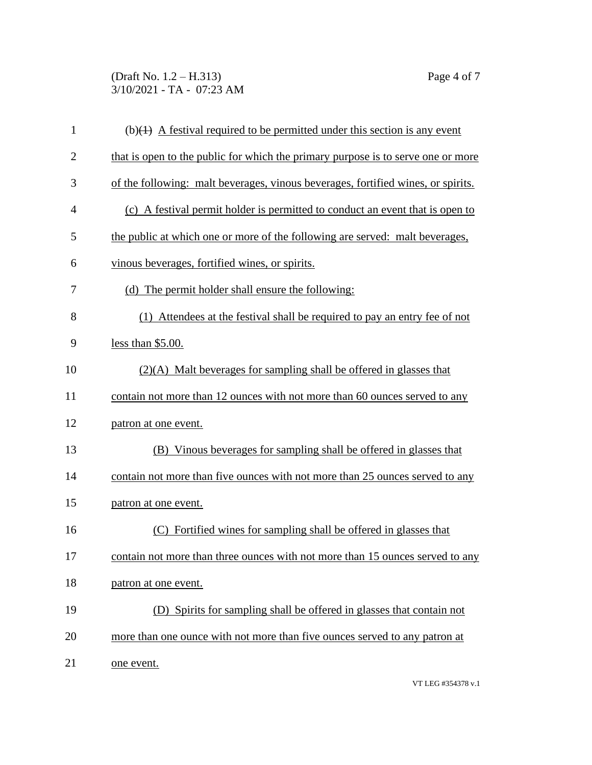(Draft No. 1.2 – H.313) Page 4 of 7 3/10/2021 - TA - 07:23 AM

| $\mathbf{1}$   | $(b)(1)$ A festival required to be permitted under this section is any event     |
|----------------|----------------------------------------------------------------------------------|
| $\overline{c}$ | that is open to the public for which the primary purpose is to serve one or more |
| 3              | of the following: malt beverages, vinous beverages, fortified wines, or spirits. |
| $\overline{4}$ | (c) A festival permit holder is permitted to conduct an event that is open to    |
| 5              | the public at which one or more of the following are served: malt beverages,     |
| 6              | vinous beverages, fortified wines, or spirits.                                   |
| 7              | (d) The permit holder shall ensure the following:                                |
| 8              | (1) Attendees at the festival shall be required to pay an entry fee of not       |
| 9              | less than \$5.00.                                                                |
| 10             | $(2)(A)$ Malt beverages for sampling shall be offered in glasses that            |
| 11             | contain not more than 12 ounces with not more than 60 ounces served to any       |
| 12             | patron at one event.                                                             |
| 13             | (B) Vinous beverages for sampling shall be offered in glasses that               |
| 14             | contain not more than five ounces with not more than 25 ounces served to any     |
| 15             | patron at one event.                                                             |
| 16             | (C) Fortified wines for sampling shall be offered in glasses that                |
| 17             | contain not more than three ounces with not more than 15 ounces served to any    |
| 18             | patron at one event.                                                             |
| 19             | (D) Spirits for sampling shall be offered in glasses that contain not            |
| 20             | more than one ounce with not more than five ounces served to any patron at       |
| 21             | one event.                                                                       |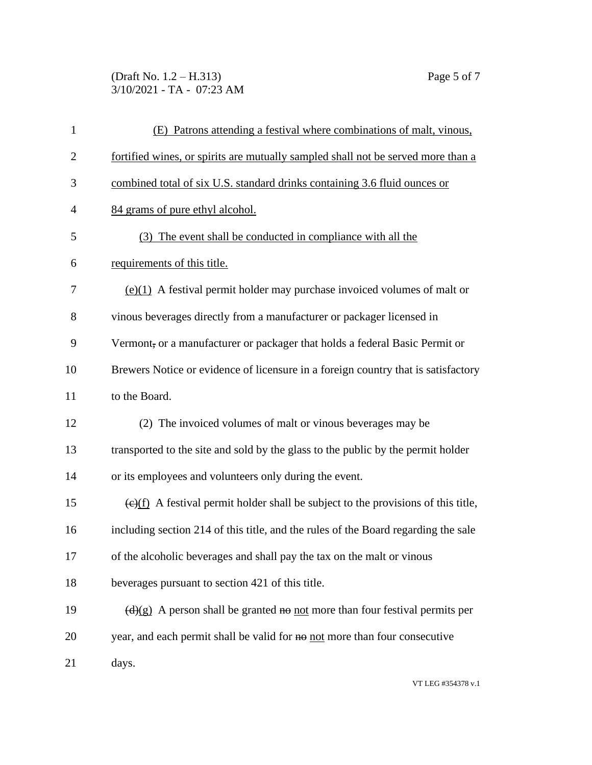## (Draft No. 1.2 – H.313) Page 5 of 7 3/10/2021 - TA - 07:23 AM

| 1              | (E) Patrons attending a festival where combinations of malt, vinous,                           |  |  |  |
|----------------|------------------------------------------------------------------------------------------------|--|--|--|
| $\overline{2}$ | fortified wines, or spirits are mutually sampled shall not be served more than a               |  |  |  |
| 3              | combined total of six U.S. standard drinks containing 3.6 fluid ounces or                      |  |  |  |
| 4              | 84 grams of pure ethyl alcohol.                                                                |  |  |  |
| 5              | (3) The event shall be conducted in compliance with all the                                    |  |  |  |
| 6              | requirements of this title.                                                                    |  |  |  |
| 7              | $(e)(1)$ A festival permit holder may purchase invoiced volumes of malt or                     |  |  |  |
| 8              | vinous beverages directly from a manufacturer or packager licensed in                          |  |  |  |
| 9              | Vermont, or a manufacturer or packager that holds a federal Basic Permit or                    |  |  |  |
| 10             | Brewers Notice or evidence of licensure in a foreign country that is satisfactory              |  |  |  |
| 11             | to the Board.                                                                                  |  |  |  |
| 12             | (2) The invoiced volumes of malt or vinous beverages may be                                    |  |  |  |
| 13             | transported to the site and sold by the glass to the public by the permit holder               |  |  |  |
| 14             | or its employees and volunteers only during the event.                                         |  |  |  |
| 15             | $\overline{(e)(f)}$ A festival permit holder shall be subject to the provisions of this title, |  |  |  |
| 16             | including section 214 of this title, and the rules of the Board regarding the sale             |  |  |  |
| 17             | of the alcoholic beverages and shall pay the tax on the malt or vinous                         |  |  |  |
| 18             | beverages pursuant to section 421 of this title.                                               |  |  |  |
| 19             | $\frac{d(x)}{g}$ A person shall be granted no <u>not</u> more than four festival permits per   |  |  |  |
| 20             | year, and each permit shall be valid for no not more than four consecutive                     |  |  |  |
| 21             | days.                                                                                          |  |  |  |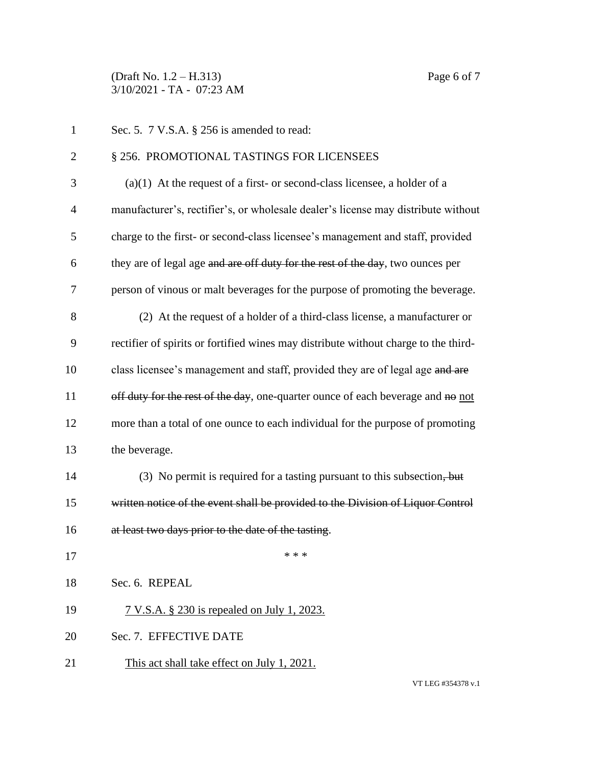(Draft No. 1.2 – H.313) Page 6 of 7 3/10/2021 - TA - 07:23 AM

| $\mathbf{1}$   | Sec. 5. $7$ V.S.A. $\S$ 256 is amended to read:                                     |
|----------------|-------------------------------------------------------------------------------------|
| $\overline{2}$ | § 256. PROMOTIONAL TASTINGS FOR LICENSEES                                           |
| 3              | $(a)(1)$ At the request of a first- or second-class licensee, a holder of a         |
| $\overline{4}$ | manufacturer's, rectifier's, or wholesale dealer's license may distribute without   |
| 5              | charge to the first- or second-class licensee's management and staff, provided      |
| 6              | they are of legal age and are off duty for the rest of the day, two ounces per      |
| 7              | person of vinous or malt beverages for the purpose of promoting the beverage.       |
| 8              | (2) At the request of a holder of a third-class license, a manufacturer or          |
| 9              | rectifier of spirits or fortified wines may distribute without charge to the third- |
| 10             | class licensee's management and staff, provided they are of legal age and are       |
| 11             | off duty for the rest of the day, one-quarter ounce of each beverage and no not     |
| 12             | more than a total of one ounce to each individual for the purpose of promoting      |
| 13             | the beverage.                                                                       |
| 14             | (3) No permit is required for a tasting pursuant to this subsection, but            |
| 15             | written notice of the event shall be provided to the Division of Liquor Control     |
| 16             | at least two days prior to the date of the tasting.                                 |
| 17             | * * *                                                                               |
| 18             | Sec. 6. REPEAL                                                                      |
| 19             | 7 V.S.A. § 230 is repealed on July 1, 2023.                                         |
| 20             | Sec. 7. EFFECTIVE DATE                                                              |
| 21             | This act shall take effect on July 1, 2021.                                         |

VT LEG #354378 v.1